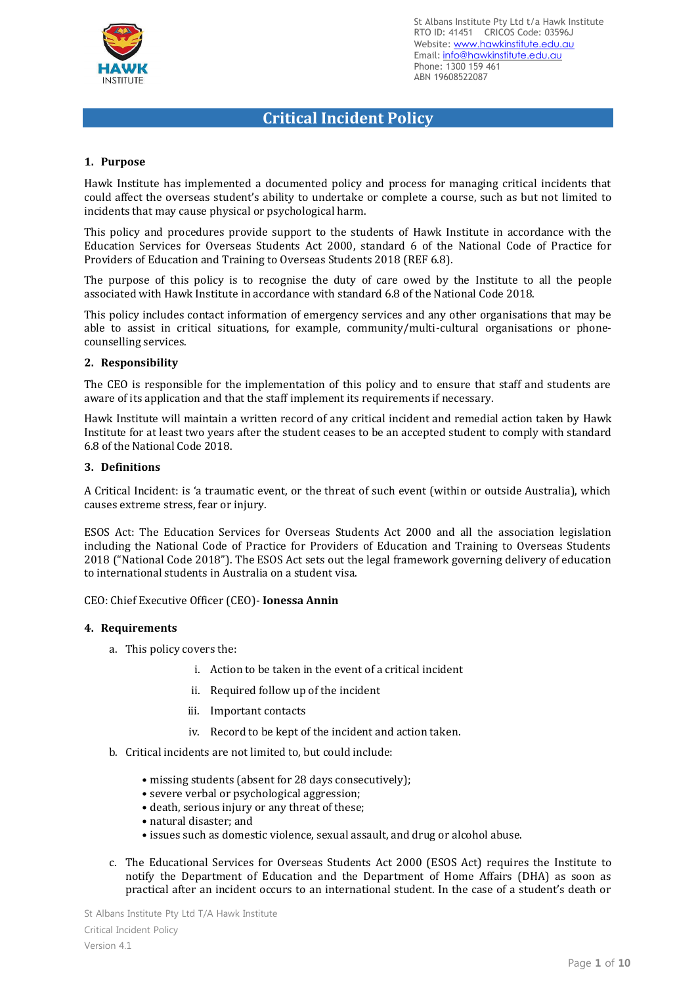

# **Critical Incident Policy**

#### **1. Purpose**

Hawk Institute has implemented a documented policy and process for managing critical incidents that could affect the overseas student's ability to undertake or complete a course, such as but not limited to incidents that may cause physical or psychological harm.

This policy and procedures provide support to the students of Hawk Institute in accordance with the Education Services for Overseas Students Act 2000, standard 6 of the National Code of Practice for Providers of Education and Training to Overseas Students 2018 (REF 6.8).

The purpose of this policy is to recognise the duty of care owed by the Institute to all the people associated with Hawk Institute in accordance with standard 6.8 of the National Code 2018.

This policy includes contact information of emergency services and any other organisations that may be able to assist in critical situations, for example, community/multi-cultural organisations or phonecounselling services.

#### **2. Responsibility**

The CEO is responsible for the implementation of this policy and to ensure that staff and students are aware of its application and that the staff implement its requirements if necessary.

Hawk Institute will maintain a written record of any critical incident and remedial action taken by Hawk Institute for at least two years after the student ceases to be an accepted student to comply with standard 6.8 of the National Code 2018.

#### **3. Definitions**

A Critical Incident: is 'a traumatic event, or the threat of such event (within or outside Australia), which causes extreme stress, fear or injury.

ESOS Act: The Education Services for Overseas Students Act 2000 and all the association legislation including the National Code of Practice for Providers of Education and Training to Overseas Students 2018 ("National Code 2018"). The ESOS Act sets out the legal framework governing delivery of education to international students in Australia on a student visa.

CEO: Chief Executive Officer (CEO)- **Ionessa Annin**

#### **4. Requirements**

- a. This policy covers the:
	- i. Action to be taken in the event of a critical incident
	- ii. Required follow up of the incident
	- iii. Important contacts
	- iv. Record to be kept of the incident and action taken.
- b. Critical incidents are not limited to, but could include:
	- missing students (absent for 28 days consecutively);
	- severe verbal or psychological aggression;
	- death, serious injury or any threat of these;
	- natural disaster; and
	- issues such as domestic violence, sexual assault, and drug or alcohol abuse.
- c. The Educational Services for Overseas Students Act 2000 (ESOS Act) requires the Institute to notify the Department of Education and the Department of Home Affairs (DHA) as soon as practical after an incident occurs to an international student. In the case of a student's death or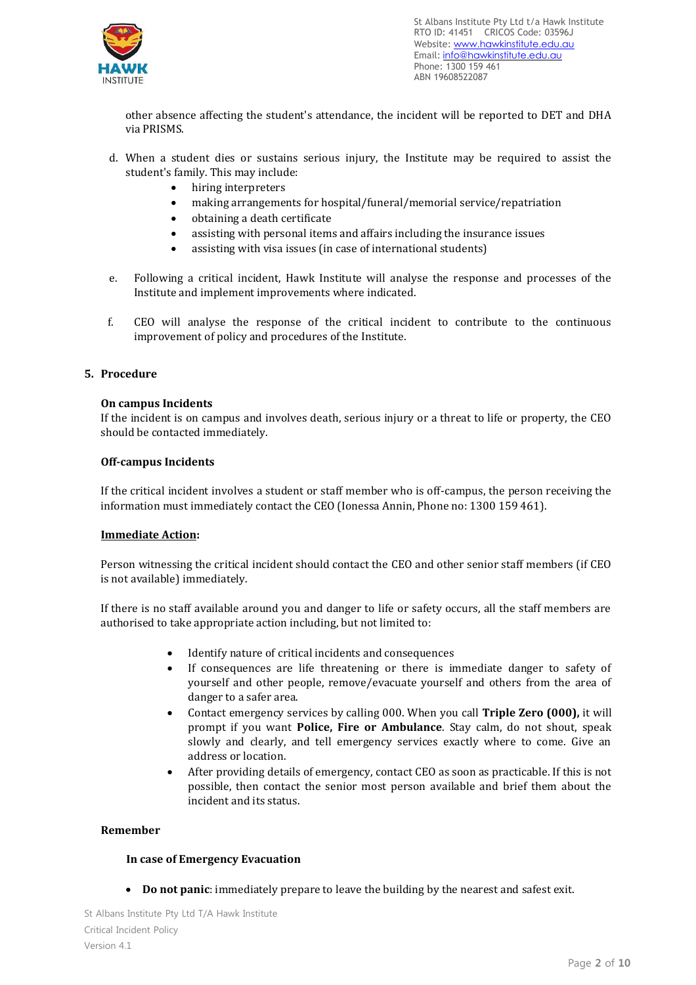

other absence affecting the student's attendance, the incident will be reported to DET and DHA via PRISMS.

- d. When a student dies or sustains serious injury, the Institute may be required to assist the student's family. This may include:
	- hiring interpreters
	- making arrangements for hospital/funeral/memorial service/repatriation
	- obtaining a death certificate
	- assisting with personal items and affairs including the insurance issues
	- assisting with visa issues (in case of international students)
- e. Following a critical incident, Hawk Institute will analyse the response and processes of the Institute and implement improvements where indicated.
- f. CEO will analyse the response of the critical incident to contribute to the continuous improvement of policy and procedures of the Institute.

#### **5. Procedure**

#### **On campus Incidents**

If the incident is on campus and involves death, serious injury or a threat to life or property, the CEO should be contacted immediately.

#### **Off-campus Incidents**

If the critical incident involves a student or staff member who is off-campus, the person receiving the information must immediately contact the CEO (Ionessa Annin, Phone no: 1300 159 461).

#### **Immediate Action:**

Person witnessing the critical incident should contact the CEO and other senior staff members (if CEO is not available) immediately.

If there is no staff available around you and danger to life or safety occurs, all the staff members are authorised to take appropriate action including, but not limited to:

- Identify nature of critical incidents and consequences
- If consequences are life threatening or there is immediate danger to safety of yourself and other people, remove/evacuate yourself and others from the area of danger to a safer area.
- Contact emergency services by calling 000. When you call **Triple Zero (000),** it will prompt if you want **Police, Fire or Ambulance**. Stay calm, do not shout, speak slowly and clearly, and tell emergency services exactly where to come. Give an address or location.
- After providing details of emergency, contact CEO as soon as practicable. If this is not possible, then contact the senior most person available and brief them about the incident and its status.

#### **Remember**

#### **In case of Emergency Evacuation**

• **Do not panic**: immediately prepare to leave the building by the nearest and safest exit.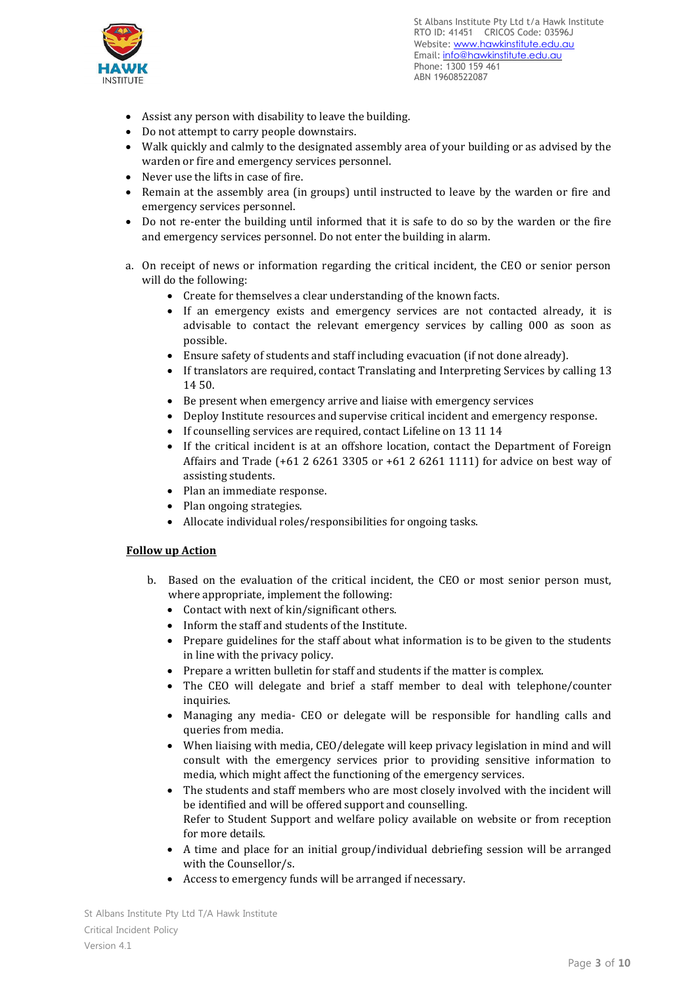

- Assist any person with disability to leave the building.
- Do not attempt to carry people downstairs.
- Walk quickly and calmly to the designated assembly area of your building or as advised by the warden or fire and emergency services personnel.
- Never use the lifts in case of fire.
- Remain at the assembly area (in groups) until instructed to leave by the warden or fire and emergency services personnel.
- Do not re-enter the building until informed that it is safe to do so by the warden or the fire and emergency services personnel. Do not enter the building in alarm.
- a. On receipt of news or information regarding the critical incident, the CEO or senior person will do the following:
	- Create for themselves a clear understanding of the known facts.
	- If an emergency exists and emergency services are not contacted already, it is advisable to contact the relevant emergency services by calling 000 as soon as possible.
	- Ensure safety of students and staff including evacuation (if not done already).
	- If translators are required, contact Translating and Interpreting Services by calling 13 14 50.
	- Be present when emergency arrive and liaise with emergency services
	- Deploy Institute resources and supervise critical incident and emergency response.
	- If counselling services are required, contact Lifeline on 13 11 14
	- If the critical incident is at an offshore location, contact the Department of Foreign Affairs and Trade (+61 2 6261 3305 or +61 2 6261 1111) for advice on best way of assisting students.
	- Plan an immediate response.
	- Plan ongoing strategies.
	- Allocate individual roles/responsibilities for ongoing tasks.

# **Follow up Action**

- b. Based on the evaluation of the critical incident, the CEO or most senior person must, where appropriate, implement the following:
	- Contact with next of kin/significant others.
	- Inform the staff and students of the Institute.
	- Prepare guidelines for the staff about what information is to be given to the students in line with the privacy policy.
	- Prepare a written bulletin for staff and students if the matter is complex.
	- The CEO will delegate and brief a staff member to deal with telephone/counter inquiries.
	- Managing any media- CEO or delegate will be responsible for handling calls and queries from media.
	- When liaising with media, CEO/delegate will keep privacy legislation in mind and will consult with the emergency services prior to providing sensitive information to media, which might affect the functioning of the emergency services.
	- The students and staff members who are most closely involved with the incident will be identified and will be offered support and counselling. Refer to Student Support and welfare policy available on website or from reception for more details.
	- A time and place for an initial group/individual debriefing session will be arranged with the Counsellor/s.
	- Access to emergency funds will be arranged if necessary.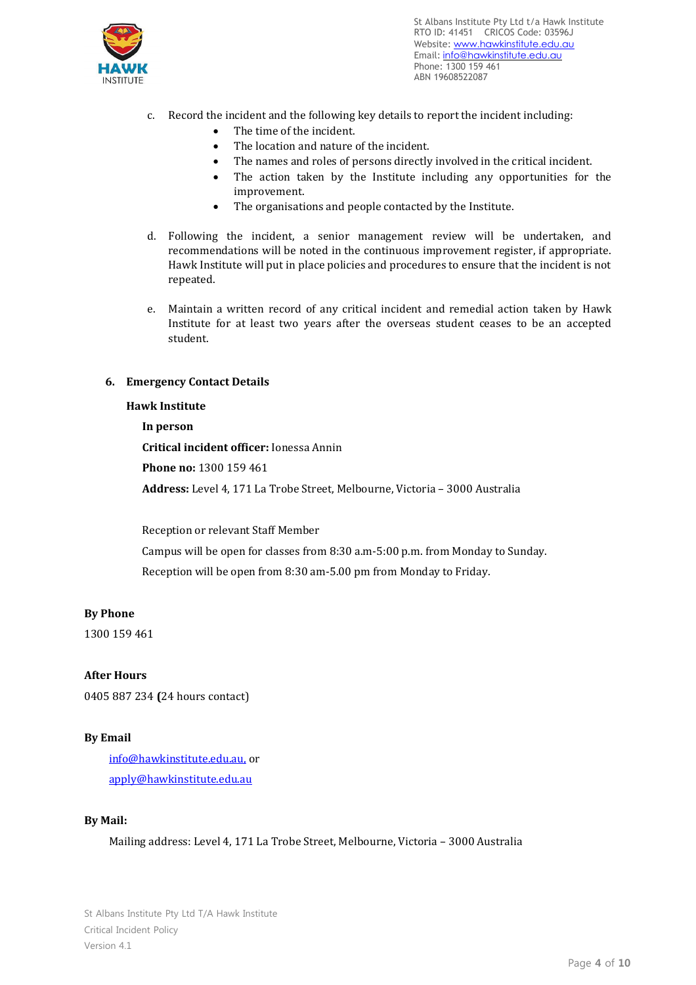

- c. Record the incident and the following key details to report the incident including:
	- The time of the incident.
	- The location and nature of the incident.
	- The names and roles of persons directly involved in the critical incident.
	- The action taken by the Institute including any opportunities for the improvement.
	- The organisations and people contacted by the Institute.
- d. Following the incident, a senior management review will be undertaken, and recommendations will be noted in the continuous improvement register, if appropriate. Hawk Institute will put in place policies and procedures to ensure that the incident is not repeated.
- e. Maintain a written record of any critical incident and remedial action taken by Hawk Institute for at least two years after the overseas student ceases to be an accepted student.

## **6. Emergency Contact Details**

#### **Hawk Institute**

#### **In person**

**Critical incident officer:** Ionessa Annin

**Phone no:** 1300 159 461

**Address:** Level 4, 171 La Trobe Street, Melbourne, Victoria – 3000 Australia

Reception or relevant Staff Member

Campus will be open for classes from 8:30 a.m-5:00 p.m. from Monday to Sunday. Reception will be open from 8:30 am-5.00 pm from Monday to Friday.

#### **By Phone**

1300 159 461

#### **After Hours**

0405 887 234 **(**24 hours contact)

#### **By Email**

[info@hawkinstitute.edu.au,](mailto:info@hawkinstitute.edu.au) or [apply@hawkinstitute.edu.au](mailto:apply@hawkinstitute.edu.au)

#### **By Mail:**

Mailing address: Level 4, 171 La Trobe Street, Melbourne, Victoria – 3000 Australia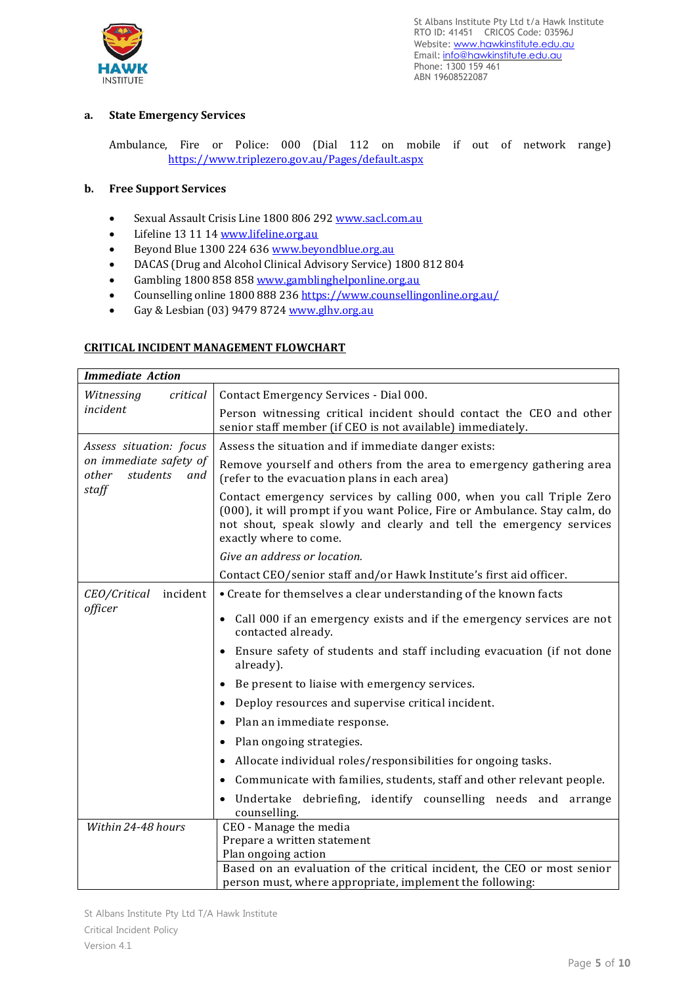

# **a. State Emergency Services**

Ambulance, Fire or Police: 000 (Dial 112 on mobile if out of network range) [https://www.triplezero.gov.au/Pages/default.aspx](about:blank)

#### **b. Free Support Services**

- Sexual Assault Crisis Line 1800 806 292 [www.sacl.com.au](about:blank)
- Lifeline 13 11 1[4 www.lifeline.org.au](about:blank)
- Beyond Blue 1300 224 63[6 www.beyondblue.org.au](about:blank)
- DACAS (Drug and Alcohol Clinical Advisory Service) 1800 812 804
- Gambling 1800 858 85[8 www.gamblinghelponline.org.au](about:blank)
- Counselling online 1800 888 236 [https://www.counsellingonline.org.au/](about:blank)
- Gay & Lesbian (03) 9479 8724 [www.glhv.org.au](about:blank)

## **CRITICAL INCIDENT MANAGEMENT FLOWCHART**

| <b>Immediate Action</b>                                     |                                                                                                                                                                                                                                                     |  |  |  |  |
|-------------------------------------------------------------|-----------------------------------------------------------------------------------------------------------------------------------------------------------------------------------------------------------------------------------------------------|--|--|--|--|
| Witnessing<br>critical                                      | Contact Emergency Services - Dial 000.                                                                                                                                                                                                              |  |  |  |  |
| incident                                                    | Person witnessing critical incident should contact the CEO and other<br>senior staff member (if CEO is not available) immediately.                                                                                                                  |  |  |  |  |
| Assess situation: focus                                     | Assess the situation and if immediate danger exists:                                                                                                                                                                                                |  |  |  |  |
| on immediate safety of<br>other<br>students<br>and<br>staff | Remove yourself and others from the area to emergency gathering area<br>(refer to the evacuation plans in each area)                                                                                                                                |  |  |  |  |
|                                                             | Contact emergency services by calling 000, when you call Triple Zero<br>(000), it will prompt if you want Police, Fire or Ambulance. Stay calm, do<br>not shout, speak slowly and clearly and tell the emergency services<br>exactly where to come. |  |  |  |  |
|                                                             | Give an address or location.                                                                                                                                                                                                                        |  |  |  |  |
|                                                             | Contact CEO/senior staff and/or Hawk Institute's first aid officer.                                                                                                                                                                                 |  |  |  |  |
| incident<br>CEO/Critical                                    | • Create for themselves a clear understanding of the known facts                                                                                                                                                                                    |  |  |  |  |
| officer                                                     | • Call 000 if an emergency exists and if the emergency services are not<br>contacted already.                                                                                                                                                       |  |  |  |  |
|                                                             | • Ensure safety of students and staff including evacuation (if not done<br>already).                                                                                                                                                                |  |  |  |  |
|                                                             | Be present to liaise with emergency services.                                                                                                                                                                                                       |  |  |  |  |
|                                                             | Deploy resources and supervise critical incident.                                                                                                                                                                                                   |  |  |  |  |
|                                                             | Plan an immediate response.<br>$\bullet$                                                                                                                                                                                                            |  |  |  |  |
|                                                             | Plan ongoing strategies.<br>$\bullet$                                                                                                                                                                                                               |  |  |  |  |
|                                                             | Allocate individual roles/responsibilities for ongoing tasks.<br>$\bullet$                                                                                                                                                                          |  |  |  |  |
|                                                             | Communicate with families, students, staff and other relevant people.                                                                                                                                                                               |  |  |  |  |
|                                                             | Undertake debriefing, identify counselling needs and arrange<br>counselling.                                                                                                                                                                        |  |  |  |  |
| Within 24-48 hours                                          | CEO - Manage the media                                                                                                                                                                                                                              |  |  |  |  |
|                                                             | Prepare a written statement                                                                                                                                                                                                                         |  |  |  |  |
|                                                             | Plan ongoing action<br>Based on an evaluation of the critical incident, the CEO or most senior                                                                                                                                                      |  |  |  |  |
|                                                             | person must, where appropriate, implement the following:                                                                                                                                                                                            |  |  |  |  |

St Albans Institute Pty Ltd T/A Hawk Institute Critical Incident Policy Version 4.1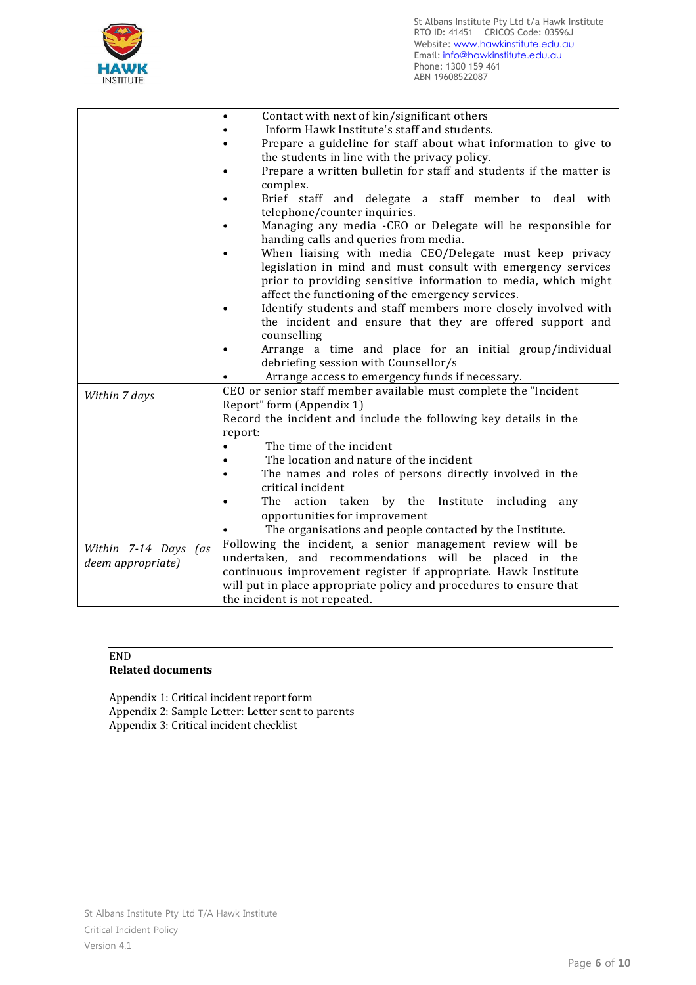

|                      | Contact with next of kin/significant others                                     |  |  |  |  |  |
|----------------------|---------------------------------------------------------------------------------|--|--|--|--|--|
|                      | Inform Hawk Institute's staff and students.                                     |  |  |  |  |  |
|                      | Prepare a guideline for staff about what information to give to                 |  |  |  |  |  |
|                      | the students in line with the privacy policy.                                   |  |  |  |  |  |
|                      | Prepare a written bulletin for staff and students if the matter is<br>$\bullet$ |  |  |  |  |  |
|                      | complex.                                                                        |  |  |  |  |  |
|                      | Brief staff and delegate a staff member to deal with<br>$\bullet$               |  |  |  |  |  |
|                      | telephone/counter inquiries.                                                    |  |  |  |  |  |
|                      | Managing any media -CEO or Delegate will be responsible for<br>$\bullet$        |  |  |  |  |  |
|                      | handing calls and queries from media.                                           |  |  |  |  |  |
|                      | When liaising with media CEO/Delegate must keep privacy<br>$\bullet$            |  |  |  |  |  |
|                      | legislation in mind and must consult with emergency services                    |  |  |  |  |  |
|                      | prior to providing sensitive information to media, which might                  |  |  |  |  |  |
|                      | affect the functioning of the emergency services.                               |  |  |  |  |  |
|                      | Identify students and staff members more closely involved with<br>$\bullet$     |  |  |  |  |  |
|                      | the incident and ensure that they are offered support and                       |  |  |  |  |  |
|                      | counselling                                                                     |  |  |  |  |  |
|                      | Arrange a time and place for an initial group/individual<br>$\bullet$           |  |  |  |  |  |
|                      | debriefing session with Counsellor/s                                            |  |  |  |  |  |
|                      | Arrange access to emergency funds if necessary.                                 |  |  |  |  |  |
| Within 7 days        | CEO or senior staff member available must complete the "Incident                |  |  |  |  |  |
|                      | Report" form (Appendix 1)                                                       |  |  |  |  |  |
|                      | Record the incident and include the following key details in the                |  |  |  |  |  |
|                      | report:                                                                         |  |  |  |  |  |
|                      | The time of the incident                                                        |  |  |  |  |  |
|                      | The location and nature of the incident                                         |  |  |  |  |  |
|                      | The names and roles of persons directly involved in the<br>$\bullet$            |  |  |  |  |  |
|                      | critical incident                                                               |  |  |  |  |  |
|                      | The action taken by the<br>Institute including<br>any                           |  |  |  |  |  |
|                      | opportunities for improvement                                                   |  |  |  |  |  |
|                      | The organisations and people contacted by the Institute.                        |  |  |  |  |  |
| Within 7-14 Days (as | Following the incident, a senior management review will be                      |  |  |  |  |  |
| deem appropriate)    | undertaken, and recommendations will be placed in the                           |  |  |  |  |  |
|                      | continuous improvement register if appropriate. Hawk Institute                  |  |  |  |  |  |
|                      | will put in place appropriate policy and procedures to ensure that              |  |  |  |  |  |
|                      | the incident is not repeated.                                                   |  |  |  |  |  |

# END

# **Related documents**

Appendix 1: Critical incident report form Appendix 2: Sample Letter: Letter sent to parents Appendix 3: Critical incident checklist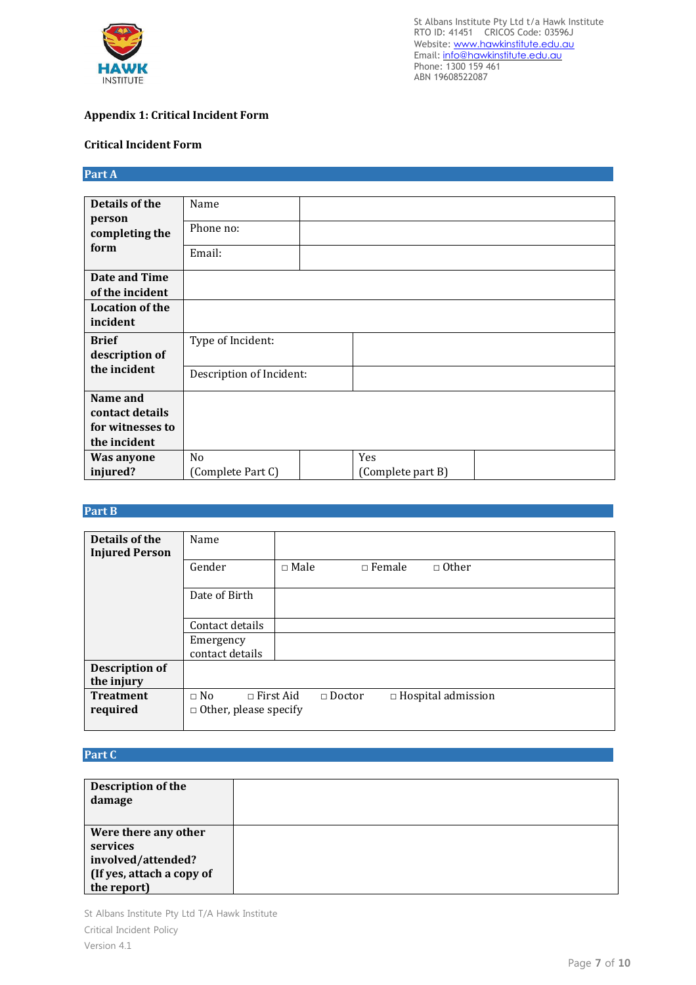

# **Appendix 1: Critical Incident Form**

## **Critical Incident Form**

| Part A |  |
|--------|--|
|        |  |
|        |  |

| Details of the         | Name                     |                   |  |
|------------------------|--------------------------|-------------------|--|
| person                 | Phone no:                |                   |  |
| completing the         |                          |                   |  |
| form                   | Email:                   |                   |  |
|                        |                          |                   |  |
| Date and Time          |                          |                   |  |
| of the incident        |                          |                   |  |
| <b>Location of the</b> |                          |                   |  |
| incident               |                          |                   |  |
| <b>Brief</b>           | Type of Incident:        |                   |  |
| description of         |                          |                   |  |
| the incident           | Description of Incident: |                   |  |
|                        |                          |                   |  |
| Name and               |                          |                   |  |
| contact details        |                          |                   |  |
| for witnesses to       |                          |                   |  |
| the incident           |                          |                   |  |
| <b>Was anyone</b>      | N <sub>0</sub>           | Yes               |  |
| injured?               | (Complete Part C)        | (Complete part B) |  |

# **Part B**

| Details of the        | Name                            |             |               |                           |
|-----------------------|---------------------------------|-------------|---------------|---------------------------|
| <b>Injured Person</b> |                                 |             |               |                           |
|                       | Gender                          | $\Box$ Male | $\Box$ Female | $\Box$ Other              |
|                       |                                 |             |               |                           |
|                       | Date of Birth                   |             |               |                           |
|                       |                                 |             |               |                           |
|                       | Contact details                 |             |               |                           |
|                       | Emergency                       |             |               |                           |
|                       | contact details                 |             |               |                           |
| <b>Description of</b> |                                 |             |               |                           |
| the injury            |                                 |             |               |                           |
| <b>Treatment</b>      | $\sqcap$ First Aid<br>$\Box$ No |             | $\Box$ Doctor | $\Box$ Hospital admission |
| required              | $\Box$ Other, please specify    |             |               |                           |
|                       |                                 |             |               |                           |

# **Part C**

| Description of the<br>damage                                                                       |  |
|----------------------------------------------------------------------------------------------------|--|
| Were there any other<br>services<br>involved/attended?<br>(If yes, attach a copy of<br>the report) |  |

St Albans Institute Pty Ltd T/A Hawk Institute Critical Incident Policy Version 4.1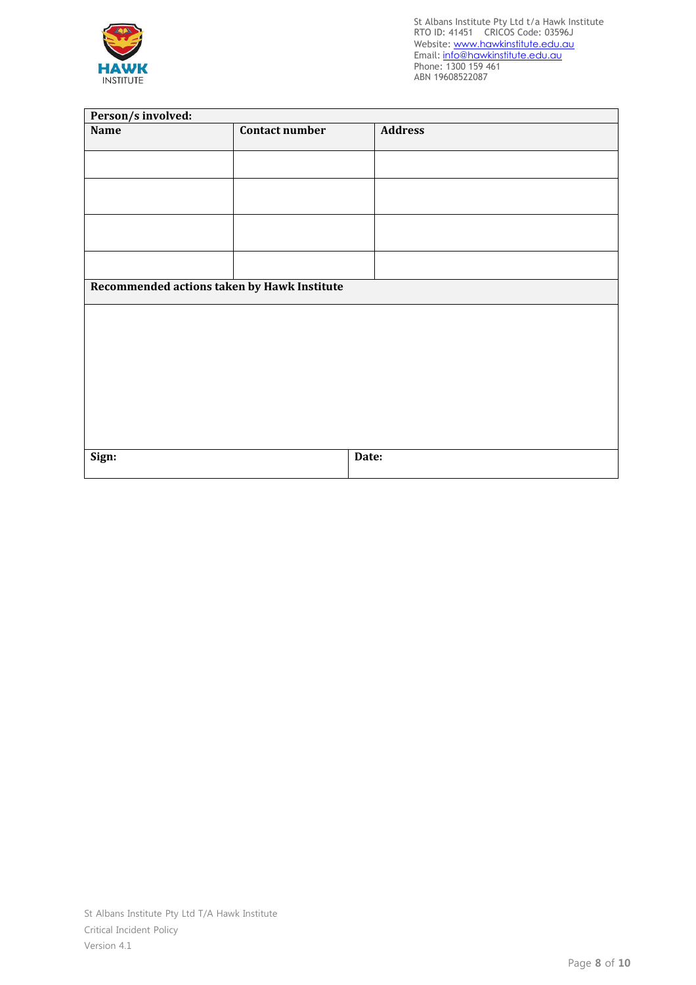

| Person/s involved:                          |                       |                |  |  |
|---------------------------------------------|-----------------------|----------------|--|--|
| Name                                        | <b>Contact number</b> | <b>Address</b> |  |  |
|                                             |                       |                |  |  |
|                                             |                       |                |  |  |
|                                             |                       |                |  |  |
|                                             |                       |                |  |  |
|                                             |                       |                |  |  |
|                                             |                       |                |  |  |
|                                             |                       |                |  |  |
| Recommended actions taken by Hawk Institute |                       |                |  |  |
|                                             |                       |                |  |  |
|                                             |                       |                |  |  |
|                                             |                       |                |  |  |
|                                             |                       |                |  |  |
|                                             |                       |                |  |  |
|                                             |                       |                |  |  |
|                                             |                       |                |  |  |
|                                             |                       |                |  |  |
| Sign:                                       |                       | Date:          |  |  |
|                                             |                       |                |  |  |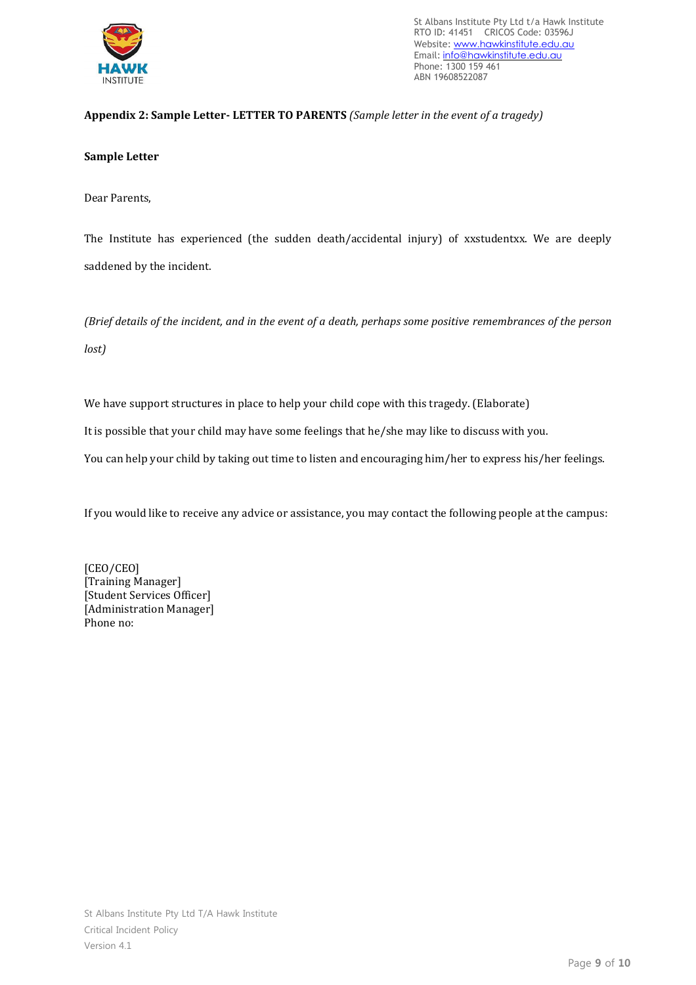

# **Appendix 2: Sample Letter- LETTER TO PARENTS** *(Sample letter in the event of a tragedy)*

## **Sample Letter**

Dear Parents,

The Institute has experienced (the sudden death/accidental injury) of xxstudentxx. We are deeply saddened by the incident.

*(Brief details of the incident, and in the event of a death, perhaps some positive remembrances of the person lost)*

We have support structures in place to help your child cope with this tragedy. (Elaborate)

It is possible that your child may have some feelings that he/she may like to discuss with you.

You can help your child by taking out time to listen and encouraging him/her to express his/her feelings.

If you would like to receive any advice or assistance, you may contact the following people at the campus:

[CEO/CEO] [Training Manager] [Student Services Officer] [Administration Manager] Phone no: